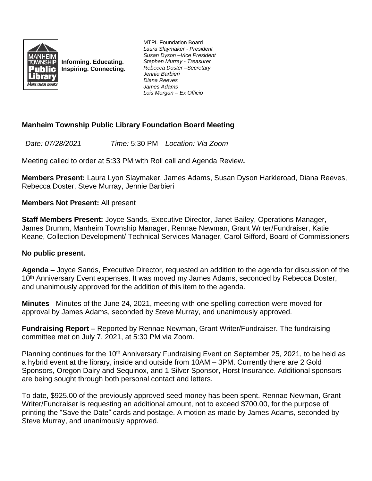

**Informing. Educating. Inspiring. Connecting.** MTPL Foundation Board *Laura Slaymaker - President Susan Dyson –Vice President Stephen Murray - Treasurer Rebecca Doster –Secretary Jennie Barbieri Diana Reeves James Adams Lois Morgan – Ex Officio*

# **Manheim Township Public Library Foundation Board Meeting**

*Date: 07/28/2021 Time:* 5:30 PM *Location: Via Zoom*

Meeting called to order at 5:33 PM with Roll call and Agenda Review**.**

**Members Present:** Laura Lyon Slaymaker, James Adams, Susan Dyson Harkleroad, Diana Reeves, Rebecca Doster, Steve Murray, Jennie Barbieri

**Members Not Present:** All present

**Staff Members Present:** Joyce Sands, Executive Director, Janet Bailey, Operations Manager, James Drumm, Manheim Township Manager, Rennae Newman, Grant Writer/Fundraiser, Katie Keane, Collection Development/ Technical Services Manager, Carol Gifford, Board of Commissioners

## **No public present.**

**Agenda –** Joyce Sands, Executive Director, requested an addition to the agenda for discussion of the 10<sup>th</sup> Anniversary Event expenses. It was moved my James Adams, seconded by Rebecca Doster, and unanimously approved for the addition of this item to the agenda.

**Minutes** - Minutes of the June 24, 2021, meeting with one spelling correction were moved for approval by James Adams, seconded by Steve Murray, and unanimously approved.

**Fundraising Report –** Reported by Rennae Newman, Grant Writer/Fundraiser. The fundraising committee met on July 7, 2021, at 5:30 PM via Zoom.

Planning continues for the 10<sup>th</sup> Anniversary Fundraising Event on September 25, 2021, to be held as a hybrid event at the library, inside and outside from 10AM – 3PM. Currently there are 2 Gold Sponsors, Oregon Dairy and Sequinox, and 1 Silver Sponsor, Horst Insurance. Additional sponsors are being sought through both personal contact and letters.

To date, \$925.00 of the previously approved seed money has been spent. Rennae Newman, Grant Writer/Fundraiser is requesting an additional amount, not to exceed \$700.00, for the purpose of printing the "Save the Date" cards and postage. A motion as made by James Adams, seconded by Steve Murray, and unanimously approved.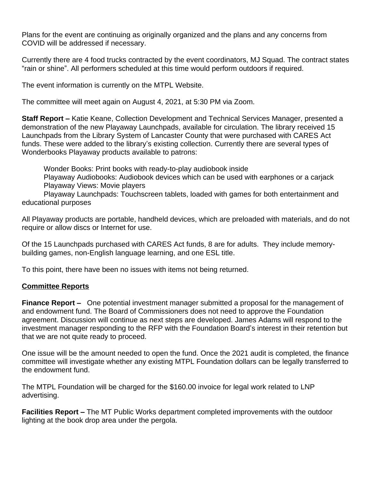Plans for the event are continuing as originally organized and the plans and any concerns from COVID will be addressed if necessary.

Currently there are 4 food trucks contracted by the event coordinators, MJ Squad. The contract states "rain or shine". All performers scheduled at this time would perform outdoors if required.

The event information is currently on the MTPL Website.

The committee will meet again on August 4, 2021, at 5:30 PM via Zoom.

**Staff Report –** Katie Keane, Collection Development and Technical Services Manager, presented a demonstration of the new Playaway Launchpads, available for circulation. The library received 15 Launchpads from the Library System of Lancaster County that were purchased with CARES Act funds. These were added to the library's existing collection. Currently there are several types of Wonderbooks Playaway products available to patrons:

Wonder Books: Print books with ready-to-play audiobook inside

Playaway Audiobooks: Audiobook devices which can be used with earphones or a carjack Playaway Views: Movie players

Playaway Launchpads: Touchscreen tablets, loaded with games for both entertainment and educational purposes

All Playaway products are portable, handheld devices, which are preloaded with materials, and do not require or allow discs or Internet for use.

Of the 15 Launchpads purchased with CARES Act funds, 8 are for adults. They include memorybuilding games, non-English language learning, and one ESL title.

To this point, there have been no issues with items not being returned.

#### **Committee Reports**

**Finance Report –** One potential investment manager submitted a proposal for the management of and endowment fund. The Board of Commissioners does not need to approve the Foundation agreement. Discussion will continue as next steps are developed. James Adams will respond to the investment manager responding to the RFP with the Foundation Board's interest in their retention but that we are not quite ready to proceed.

One issue will be the amount needed to open the fund. Once the 2021 audit is completed, the finance committee will investigate whether any existing MTPL Foundation dollars can be legally transferred to the endowment fund.

The MTPL Foundation will be charged for the \$160.00 invoice for legal work related to LNP advertising.

**Facilities Report –** The MT Public Works department completed improvements with the outdoor lighting at the book drop area under the pergola.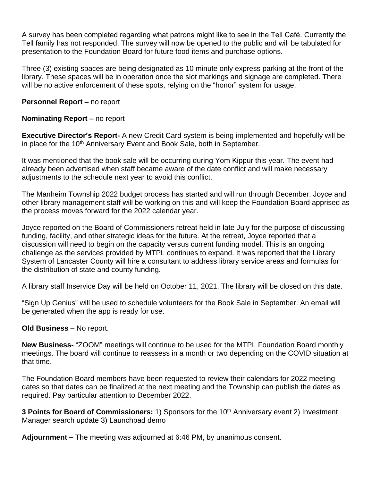A survey has been completed regarding what patrons might like to see in the Tell Café. Currently the Tell family has not responded. The survey will now be opened to the public and will be tabulated for presentation to the Foundation Board for future food items and purchase options.

Three (3) existing spaces are being designated as 10 minute only express parking at the front of the library. These spaces will be in operation once the slot markings and signage are completed. There will be no active enforcement of these spots, relying on the "honor" system for usage.

**Personnel Report – no report** 

### **Nominating Report –** no report

**Executive Director's Report-** A new Credit Card system is being implemented and hopefully will be in place for the 10<sup>th</sup> Anniversary Event and Book Sale, both in September.

It was mentioned that the book sale will be occurring during Yom Kippur this year. The event had already been advertised when staff became aware of the date conflict and will make necessary adjustments to the schedule next year to avoid this conflict.

The Manheim Township 2022 budget process has started and will run through December. Joyce and other library management staff will be working on this and will keep the Foundation Board apprised as the process moves forward for the 2022 calendar year.

Joyce reported on the Board of Commissioners retreat held in late July for the purpose of discussing funding, facility, and other strategic ideas for the future. At the retreat, Joyce reported that a discussion will need to begin on the capacity versus current funding model. This is an ongoing challenge as the services provided by MTPL continues to expand. It was reported that the Library System of Lancaster County will hire a consultant to address library service areas and formulas for the distribution of state and county funding.

A library staff Inservice Day will be held on October 11, 2021. The library will be closed on this date.

"Sign Up Genius" will be used to schedule volunteers for the Book Sale in September. An email will be generated when the app is ready for use.

#### **Old Business** – No report.

**New Business-** "ZOOM" meetings will continue to be used for the MTPL Foundation Board monthly meetings. The board will continue to reassess in a month or two depending on the COVID situation at that time.

The Foundation Board members have been requested to review their calendars for 2022 meeting dates so that dates can be finalized at the next meeting and the Township can publish the dates as required. Pay particular attention to December 2022.

**3 Points for Board of Commissioners:** 1) Sponsors for the 10<sup>th</sup> Anniversary event 2) Investment Manager search update 3) Launchpad demo

**Adjournment –** The meeting was adjourned at 6:46 PM, by unanimous consent.